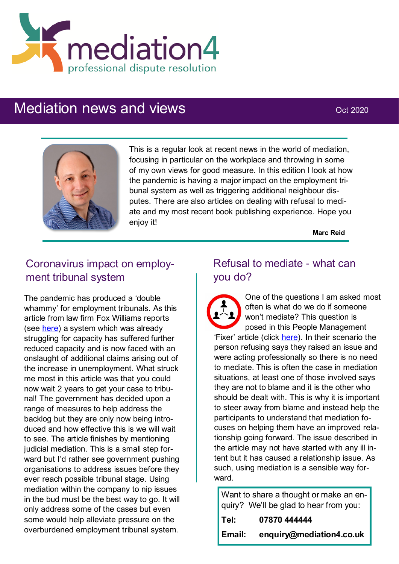

# Mediation news and views **CONCERN 2020** Oct 2020



This is a regular look at recent news in the world of mediation, focusing in particular on the workplace and throwing in some of my own views for good measure. In this edition I look at how the pandemic is having a major impact on the employment tribunal system as well as triggering additional neighbour disputes. There are also articles on dealing with refusal to mediate and my most recent book publishing experience. Hope you enjoy it!

**Marc Reid**

# Coronavirus impact on employment tribunal system

The pandemic has produced a 'double whammy' for employment tribunals. As this article from law firm Fox Williams reports (see [here\)](https://www.hrlaw.co.uk/site/infobank/infobankarticle/new-tribunal-procedure-rules) a system which was already struggling for capacity has suffered further reduced capacity and is now faced with an onslaught of additional claims arising out of the increase in unemployment. What struck me most in this article was that you could now wait 2 years to get your case to tribunal! The government has decided upon a range of measures to help address the backlog but they are only now being introduced and how effective this is we will wait to see. The article finishes by mentioning judicial mediation. This is a small step forward but I'd rather see government pushing organisations to address issues before they ever reach possible tribunal stage. Using mediation within the company to nip issues in the bud must be the best way to go. It will only address some of the cases but even some would help alleviate pressure on the overburdened employment tribunal system.

## Refusal to mediate - what can you do?

One of the questions I am asked most often is what do we do if someone won't mediate? This question is posed in this People Management 'Fixer' article (click [here\).](https://www.peoplemanagement.co.uk/experts/advice/fixer-colleague-complaint-against-them-refuses-mediate) In their scenario the person refusing says they raised an issue and were acting professionally so there is no need to mediate. This is often the case in mediation situations, at least one of those involved says they are not to blame and it is the other who should be dealt with. This is why it is important to steer away from blame and instead help the participants to understand that mediation focuses on helping them have an improved relationship going forward. The issue described in the article may not have started with any ill intent but it has caused a relationship issue. As such, using mediation is a sensible way forward.

Want to share a thought or make an enquiry? We'll be glad to hear from you:

| Tel:   | 07870 444444             |
|--------|--------------------------|
| Email: | enquiry@mediation4.co.uk |